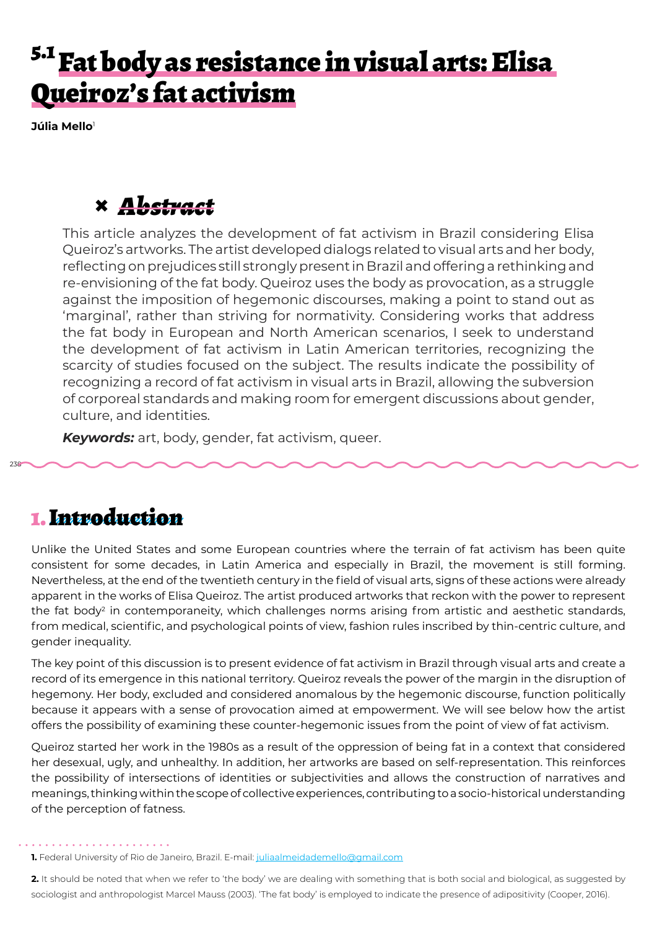## <sup>5.1</sup> Fat body as resistance in visual arts: Elisa Queiroz's fat activism

**Júlia Mello**<sup>1</sup>

## **×** *Abstract*

This article analyzes the development of fat activism in Brazil considering Elisa Queiroz's artworks. The artist developed dialogs related to visual arts and her body, reflecting on prejudices still strongly present in Brazil and offering a rethinking and re-envisioning of the fat body. Queiroz uses the body as provocation, as a struggle against the imposition of hegemonic discourses, making a point to stand out as 'marginal', rather than striving for normativity. Considering works that address the fat body in European and North American scenarios, I seek to understand the development of fat activism in Latin American territories, recognizing the scarcity of studies focused on the subject. The results indicate the possibility of recognizing a record of fat activism in visual arts in Brazil, allowing the subversion of corporeal standards and making room for emergent discussions about gender, culture, and identities.

*Keywords:* art, body, gender, fat activism, queer.

## 1. Introduction

238

Unlike the United States and some European countries where the terrain of fat activism has been quite consistent for some decades, in Latin America and especially in Brazil, the movement is still forming. Nevertheless, at the end of the twentieth century in the field of visual arts, signs of these actions were already apparent in the works of Elisa Queiroz. The artist produced artworks that reckon with the power to represent the fat body<sup>2</sup> in contemporaneity, which challenges norms arising from artistic and aesthetic standards, from medical, scientific, and psychological points of view, fashion rules inscribed by thin-centric culture, and gender inequality.

The key point of this discussion is to present evidence of fat activism in Brazil through visual arts and create a record of its emergence in this national territory. Queiroz reveals the power of the margin in the disruption of hegemony. Her body, excluded and considered anomalous by the hegemonic discourse, function politically because it appears with a sense of provocation aimed at empowerment. We will see below how the artist offers the possibility of examining these counter-hegemonic issues from the point of view of fat activism.

Queiroz started her work in the 1980s as a result of the oppression of being fat in a context that considered her desexual, ugly, and unhealthy. In addition, her artworks are based on self-representation. This reinforces the possibility of intersections of identities or subjectivities and allows the construction of narratives and meanings, thinking within the scope of collective experiences, contributing to a socio-historical understanding of the perception of fatness.

**1.** Federal University of Rio de Janeiro, Brazil. E-mail: juliaalmeidademello@gmail.com

**2.** It should be noted that when we refer to 'the body' we are dealing with something that is both social and biological, as suggested by sociologist and anthropologist Marcel Mauss (2003). 'The fat body' is employed to indicate the presence of adipositivity (Cooper, 2016).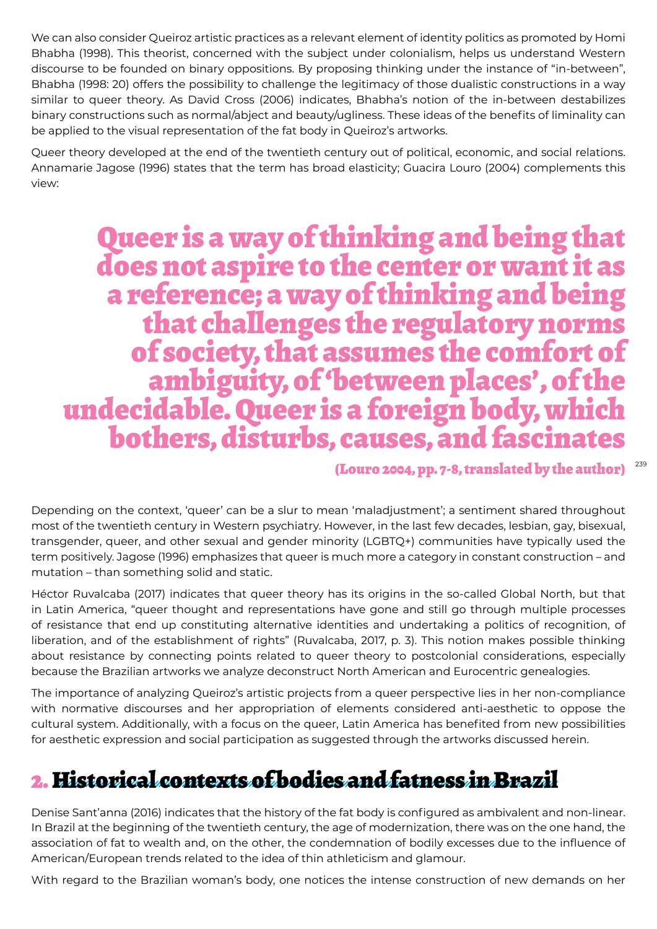We can also consider Queiroz artistic practices as a relevant element of identity politics as promoted by Homi Bhabha (1998). This theorist, concerned with the subject under colonialism, helps us understand Western discourse to be founded on binary oppositions. By proposing thinking under the instance of "in-between", Bhabha (1998: 20) offers the possibility to challenge the legitimacy of those dualistic constructions in a way similar to queer theory. As David Cross (2006) indicates, Bhabha's notion of the in-between destabilizes binary constructions such as normal/abject and beauty/ugliness. These ideas of the benefits of liminality can be applied to the visual representation of the fat body in Queiroz's artworks.

Queer theory developed at the end of the twentieth century out of political, economic, and social relations. Annamarie Jagose (1996) states that the term has broad elasticity; Guacira Louro (2004) complements this view:

# Queer is a way of thinking and being that does not aspire to the center or want it as a reference; a way of thinking and being that challenges the regulatory norms of society, that assumes the comfort of ambiguity, of 'between places', of the undecidable. Queer is a foreign body, which bothers, disturbs, causes, and fascinates

#### 239 (Louro 2004, pp. 7-8, translated by the author)

Depending on the context, 'queer' can be a slur to mean 'maladjustment'; a sentiment shared throughout most of the twentieth century in Western psychiatry. However, in the last few decades, lesbian, gay, bisexual, transgender, queer, and other sexual and gender minority (LGBTQ+) communities have typically used the term positively. Jagose (1996) emphasizes that queer is much more a category in constant construction – and mutation – than something solid and static.

Héctor Ruvalcaba (2017) indicates that queer theory has its origins in the so-called Global North, but that in Latin America, "queer thought and representations have gone and still go through multiple processes of resistance that end up constituting alternative identities and undertaking a politics of recognition, of liberation, and of the establishment of rights" (Ruvalcaba, 2017, p. 3). This notion makes possible thinking about resistance by connecting points related to queer theory to postcolonial considerations, especially because the Brazilian artworks we analyze deconstruct North American and Eurocentric genealogies.

The importance of analyzing Queiroz's artistic projects from a queer perspective lies in her non-compliance with normative discourses and her appropriation of elements considered anti-aesthetic to oppose the cultural system. Additionally, with a focus on the queer, Latin America has benefited from new possibilities for aesthetic expression and social participation as suggested through the artworks discussed herein.

## 2. Historical contexts of bodies and fatness in Brazil

Denise Sant'anna (2016) indicates that the history of the fat body is configured as ambivalent and non-linear. In Brazil at the beginning of the twentieth century, the age of modernization, there was on the one hand, the association of fat to wealth and, on the other, the condemnation of bodily excesses due to the influence of American/European trends related to the idea of thin athleticism and glamour.

With regard to the Brazilian woman's body, one notices the intense construction of new demands on her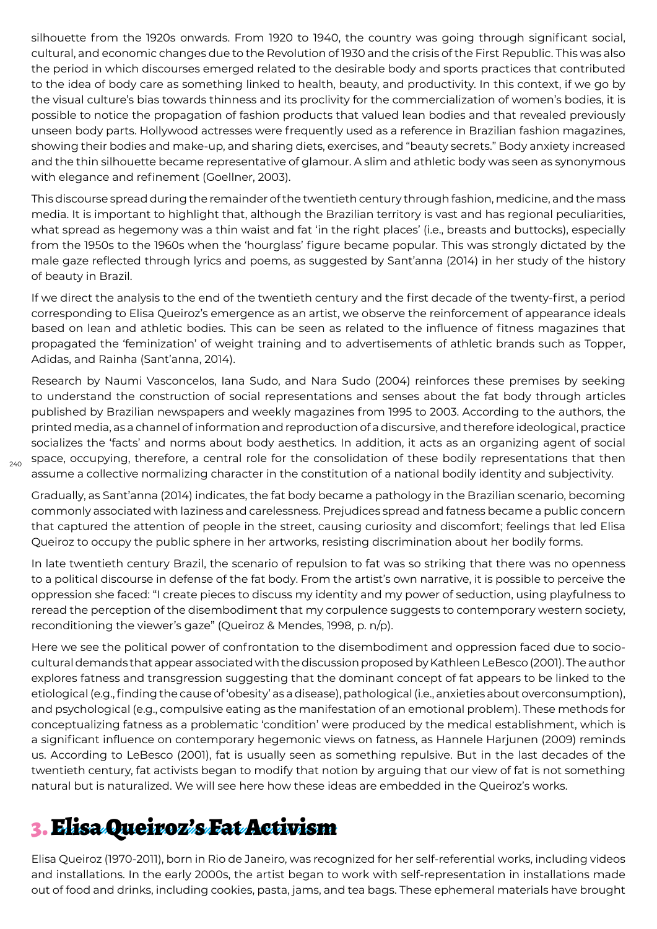silhouette from the 1920s onwards. From 1920 to 1940, the country was going through significant social, cultural, and economic changes due to the Revolution of 1930 and the crisis of the First Republic. This was also the period in which discourses emerged related to the desirable body and sports practices that contributed to the idea of body care as something linked to health, beauty, and productivity. In this context, if we go by the visual culture's bias towards thinness and its proclivity for the commercialization of women's bodies, it is possible to notice the propagation of fashion products that valued lean bodies and that revealed previously unseen body parts. Hollywood actresses were frequently used as a reference in Brazilian fashion magazines, showing their bodies and make-up, and sharing diets, exercises, and "beauty secrets." Body anxiety increased and the thin silhouette became representative of glamour. A slim and athletic body was seen as synonymous with elegance and refinement (Goellner, 2003).

This discourse spread during the remainder of the twentieth century through fashion, medicine, and the mass media. It is important to highlight that, although the Brazilian territory is vast and has regional peculiarities, what spread as hegemony was a thin waist and fat 'in the right places' (i.e., breasts and buttocks), especially from the 1950s to the 1960s when the 'hourglass' figure became popular. This was strongly dictated by the male gaze reflected through lyrics and poems, as suggested by Sant'anna (2014) in her study of the history of beauty in Brazil.

If we direct the analysis to the end of the twentieth century and the first decade of the twenty-first, a period corresponding to Elisa Queiroz's emergence as an artist, we observe the reinforcement of appearance ideals based on lean and athletic bodies. This can be seen as related to the influence of fitness magazines that propagated the 'feminization' of weight training and to advertisements of athletic brands such as Topper, Adidas, and Rainha (Sant'anna, 2014).

Research by Naumi Vasconcelos, Iana Sudo, and Nara Sudo (2004) reinforces these premises by seeking to understand the construction of social representations and senses about the fat body through articles published by Brazilian newspapers and weekly magazines from 1995 to 2003. According to the authors, the printed media, as a channel of information and reproduction of a discursive, and therefore ideological, practice socializes the 'facts' and norms about body aesthetics. In addition, it acts as an organizing agent of social space, occupying, therefore, a central role for the consolidation of these bodily representations that then assume a collective normalizing character in the constitution of a national bodily identity and subjectivity.

240

Gradually, as Sant'anna (2014) indicates, the fat body became a pathology in the Brazilian scenario, becoming commonly associated with laziness and carelessness. Prejudices spread and fatness became a public concern that captured the attention of people in the street, causing curiosity and discomfort; feelings that led Elisa Queiroz to occupy the public sphere in her artworks, resisting discrimination about her bodily forms.

In late twentieth century Brazil, the scenario of repulsion to fat was so striking that there was no openness to a political discourse in defense of the fat body. From the artist's own narrative, it is possible to perceive the oppression she faced: "I create pieces to discuss my identity and my power of seduction, using playfulness to reread the perception of the disembodiment that my corpulence suggests to contemporary western society, reconditioning the viewer's gaze" (Queiroz & Mendes, 1998, p. n/p).

Here we see the political power of confrontation to the disembodiment and oppression faced due to sociocultural demands that appear associated with the discussion proposed by Kathleen LeBesco (2001). The author explores fatness and transgression suggesting that the dominant concept of fat appears to be linked to the etiological (e.g., finding the cause of 'obesity' as a disease), pathological (i.e., anxieties about overconsumption), and psychological (e.g., compulsive eating as the manifestation of an emotional problem). These methods for conceptualizing fatness as a problematic 'condition' were produced by the medical establishment, which is a significant influence on contemporary hegemonic views on fatness, as Hannele Harjunen (2009) reminds us. According to LeBesco (2001), fat is usually seen as something repulsive. But in the last decades of the twentieth century, fat activists began to modify that notion by arguing that our view of fat is not something natural but is naturalized. We will see here how these ideas are embedded in the Queiroz's works.

## 3. Elisa Queiroz's Fat Activism

Elisa Queiroz (1970-2011), born in Rio de Janeiro, was recognized for her self-referential works, including videos and installations. In the early 2000s, the artist began to work with self-representation in installations made out of food and drinks, including cookies, pasta, jams, and tea bags. These ephemeral materials have brought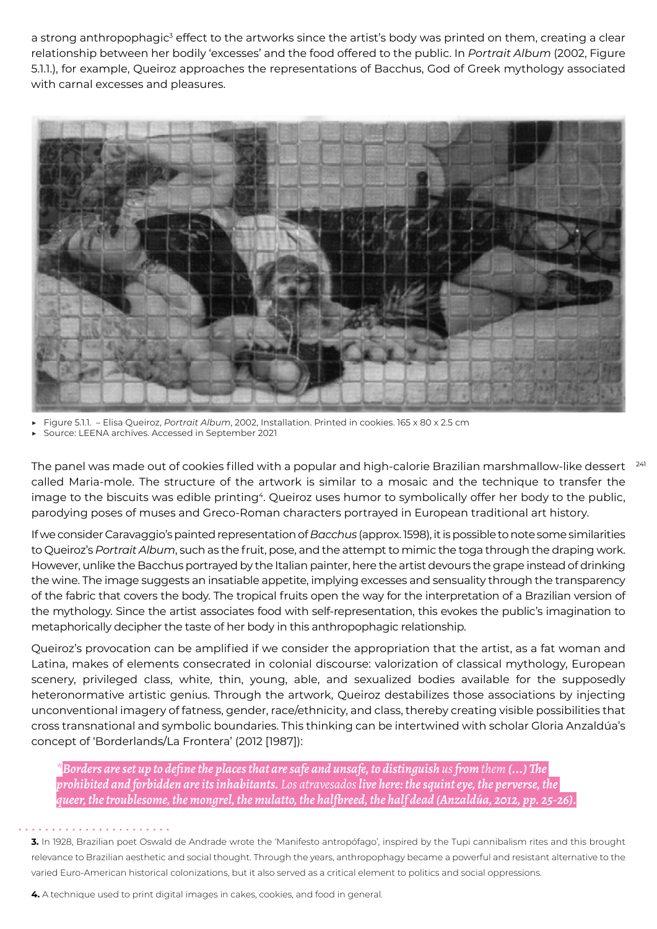a strong anthropophagic<sup>3</sup> effect to the artworks since the artist's body was printed on them, creating a clear relationship between her bodily 'excesses' and the food offered to the public. In *Portrait Album* (2002, Figure 5.1.1.), for example, Queiroz approaches the representations of Bacchus, God of Greek mythology associated with carnal excesses and pleasures.



▶ Figure 5.1.1. – Elisa Queiroz, *Portrait Album*, 2002, Installation. Printed in cookies. 165 x 80 x 2.5 cm

Source: LEENA archives. Accessed in September 2021

The panel was made out of cookies filled with a popular and high-calorie Brazilian marshmallow-like dessert  $\,$   $^{241}$ called Maria-mole. The structure of the artwork is similar to a mosaic and the technique to transfer the image to the biscuits was edible printing<sup>4</sup>. Queiroz uses humor to symbolically offer her body to the public, parodying poses of muses and Greco-Roman characters portrayed in European traditional art history.

If we consider Caravaggio's painted representation of *Bacchus* (approx. 1598), it is possible to note some similarities to Queiroz's *Portrait Album*, such as the fruit, pose, and the attempt to mimic the toga through the draping work. However, unlike the Bacchus portrayed by the Italian painter, here the artist devours the grape instead of drinking the wine. The image suggests an insatiable appetite, implying excesses and sensuality through the transparency of the fabric that covers the body. The tropical fruits open the way for the interpretation of a Brazilian version of the mythology. Since the artist associates food with self-representation, this evokes the public's imagination to metaphorically decipher the taste of her body in this anthropophagic relationship.

Queiroz's provocation can be amplified if we consider the appropriation that the artist, as a fat woman and Latina, makes of elements consecrated in colonial discourse: valorization of classical mythology, European scenery, privileged class, white, thin, young, able, and sexualized bodies available for the supposedly heteronormative artistic genius. Through the artwork, Queiroz destabilizes those associations by injecting unconventional imagery of fatness, gender, race/ethnicity, and class, thereby creating visible possibilities that cross transnational and symbolic boundaries. This thinking can be intertwined with scholar Gloria Anzaldúa's concept of 'Borderlands/La Frontera' (2012 [1987]):

*\*Borders are set up to define the places that are safe and unsafe, to distinguish us from them (...) The prohibited and forbidden are its inhabitants. Los atravesados live here: the squint eye, the perverse, the queer, the troublesome, the mongrel, the mulatto, the halfbreed, the half dead (Anzaldúa, 2012, pp. 25-26).*

**3.** In 1928, Brazilian poet Oswald de Andrade wrote the 'Manifesto antropófago', inspired by the Tupi cannibalism rites and this brought relevance to Brazilian aesthetic and social thought. Through the years, anthropophagy became a powerful and resistant alternative to the varied Euro-American historical colonizations, but it also served as a critical element to politics and social oppressions.

**4.** A technique used to print digital images in cakes, cookies, and food in general.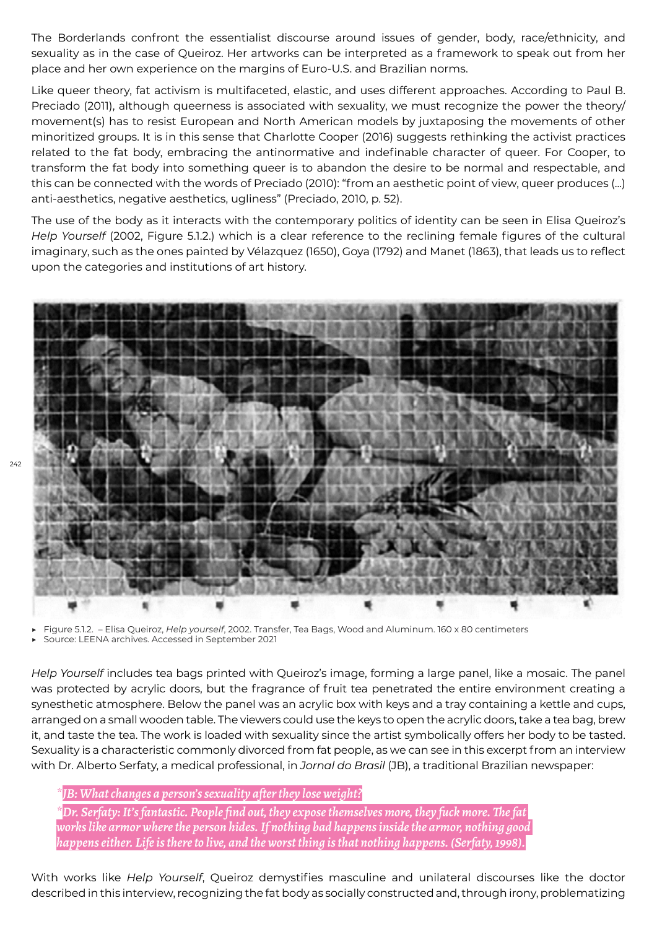The Borderlands confront the essentialist discourse around issues of gender, body, race/ethnicity, and sexuality as in the case of Queiroz. Her artworks can be interpreted as a framework to speak out from her place and her own experience on the margins of Euro-U.S. and Brazilian norms.

Like queer theory, fat activism is multifaceted, elastic, and uses different approaches. According to Paul B. Preciado (2011), although queerness is associated with sexuality, we must recognize the power the theory/ movement(s) has to resist European and North American models by juxtaposing the movements of other minoritized groups. It is in this sense that Charlotte Cooper (2016) suggests rethinking the activist practices related to the fat body, embracing the antinormative and indefinable character of queer. For Cooper, to transform the fat body into something queer is to abandon the desire to be normal and respectable, and this can be connected with the words of Preciado (2010): "from an aesthetic point of view, queer produces (...) anti-aesthetics, negative aesthetics, ugliness" (Preciado, 2010, p. 52).

The use of the body as it interacts with the contemporary politics of identity can be seen in Elisa Queiroz's *Help Yourself* (2002, Figure 5.1.2.) which is a clear reference to the reclining female figures of the cultural imaginary, such as the ones painted by Vélazquez (1650), Goya (1792) and Manet (1863), that leads us to reflect upon the categories and institutions of art history.



▶ Figure 5.1.2. – Elisa Queiroz, *Help yourself*, 2002. Transfer, Tea Bags, Wood and Aluminum. 160 x 80 centimeters

Source: LEENA archives. Accessed in September 2021

*Help Yourself* includes tea bags printed with Queiroz's image, forming a large panel, like a mosaic. The panel was protected by acrylic doors, but the fragrance of fruit tea penetrated the entire environment creating a synesthetic atmosphere. Below the panel was an acrylic box with keys and a tray containing a kettle and cups, arranged on a small wooden table. The viewers could use the keys to open the acrylic doors, take a tea bag, brew it, and taste the tea. The work is loaded with sexuality since the artist symbolically offers her body to be tasted. Sexuality is a characteristic commonly divorced from fat people, as we can see in this excerpt from an interview with Dr. Alberto Serfaty, a medical professional, in *Jornal do Brasil* (JB), a traditional Brazilian newspaper:

*\*JB: What changes a person's sexuality after they lose weight?*

*\*Dr. Serfaty: It's fantastic. People find out, they expose themselves more, they fuck more. The fat works like armor where the person hides. If nothing bad happens inside the armor, nothing good happens either. Life is there to live, and the worst thing is that nothing happens. (Serfaty, 1998).*

With works like *Help Yourself*, Queiroz demystifies masculine and unilateral discourses like the doctor described in this interview, recognizing the fat body as socially constructed and, through irony, problematizing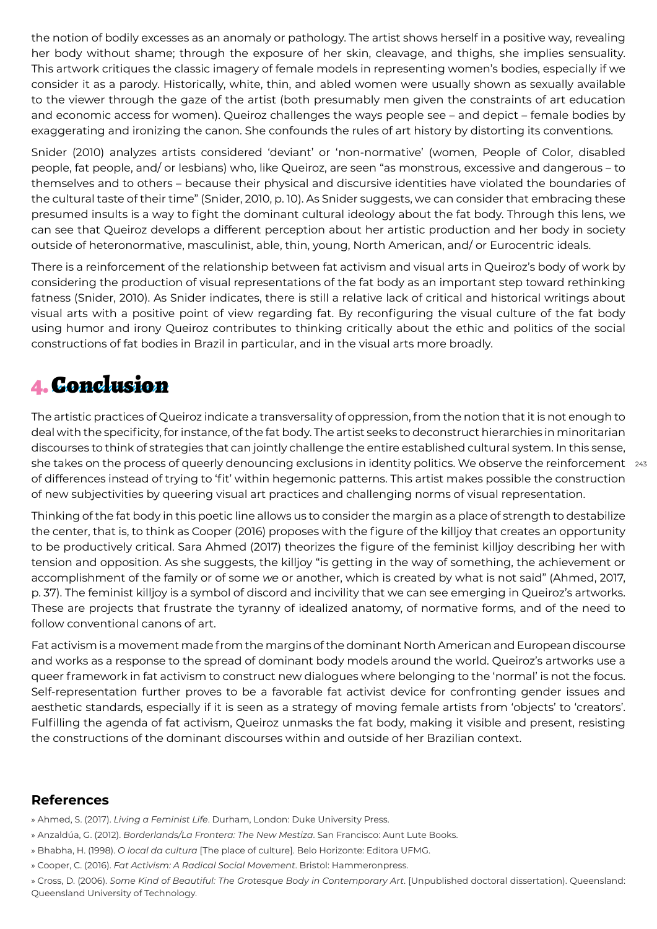the notion of bodily excesses as an anomaly or pathology. The artist shows herself in a positive way, revealing her body without shame; through the exposure of her skin, cleavage, and thighs, she implies sensuality. This artwork critiques the classic imagery of female models in representing women's bodies, especially if we consider it as a parody. Historically, white, thin, and abled women were usually shown as sexually available to the viewer through the gaze of the artist (both presumably men given the constraints of art education and economic access for women). Queiroz challenges the ways people see – and depict – female bodies by exaggerating and ironizing the canon. She confounds the rules of art history by distorting its conventions.

Snider (2010) analyzes artists considered 'deviant' or 'non-normative' (women, People of Color, disabled people, fat people, and/ or lesbians) who, like Queiroz, are seen "as monstrous, excessive and dangerous – to themselves and to others – because their physical and discursive identities have violated the boundaries of the cultural taste of their time" (Snider, 2010, p. 10). As Snider suggests, we can consider that embracing these presumed insults is a way to fight the dominant cultural ideology about the fat body. Through this lens, we can see that Queiroz develops a different perception about her artistic production and her body in society outside of heteronormative, masculinist, able, thin, young, North American, and/ or Eurocentric ideals.

There is a reinforcement of the relationship between fat activism and visual arts in Queiroz's body of work by considering the production of visual representations of the fat body as an important step toward rethinking fatness (Snider, 2010). As Snider indicates, there is still a relative lack of critical and historical writings about visual arts with a positive point of view regarding fat. By reconfiguring the visual culture of the fat body using humor and irony Queiroz contributes to thinking critically about the ethic and politics of the social constructions of fat bodies in Brazil in particular, and in the visual arts more broadly.

## 4. Conclusion

she takes on the process of queerly denouncing exclusions in identity politics. We observe the reinforcement  $\,$   $_{\rm 243}$ The artistic practices of Queiroz indicate a transversality of oppression, from the notion that it is not enough to deal with the specificity, for instance, of the fat body. The artist seeks to deconstruct hierarchies in minoritarian discourses to think of strategies that can jointly challenge the entire established cultural system. In this sense, of differences instead of trying to 'fit' within hegemonic patterns. This artist makes possible the construction of new subjectivities by queering visual art practices and challenging norms of visual representation.

Thinking of the fat body in this poetic line allows us to consider the margin as a place of strength to destabilize the center, that is, to think as Cooper (2016) proposes with the figure of the killjoy that creates an opportunity to be productively critical. Sara Ahmed (2017) theorizes the figure of the feminist killjoy describing her with tension and opposition. As she suggests, the killjoy "is getting in the way of something, the achievement or accomplishment of the family or of some *we* or another, which is created by what is not said" (Ahmed, 2017, p. 37). The feminist killjoy is a symbol of discord and incivility that we can see emerging in Queiroz's artworks. These are projects that frustrate the tyranny of idealized anatomy, of normative forms, and of the need to follow conventional canons of art.

Fat activism is a movement made from the margins of the dominant North American and European discourse and works as a response to the spread of dominant body models around the world. Queiroz's artworks use a queer framework in fat activism to construct new dialogues where belonging to the 'normal' is not the focus. Self-representation further proves to be a favorable fat activist device for confronting gender issues and aesthetic standards, especially if it is seen as a strategy of moving female artists from 'objects' to 'creators'. Fulfilling the agenda of fat activism, Queiroz unmasks the fat body, making it visible and present, resisting the constructions of the dominant discourses within and outside of her Brazilian context.

### **References**

» Ahmed, S. (2017). *Living a Feminist Life*. Durham, London: Duke University Press.

- » Anzaldúa, G. (2012). *Borderlands/La Frontera: The New Mestiza*. San Francisco: Aunt Lute Books.
- » Bhabha, H. (1998). *O local da cultura* [The place of culture]. Belo Horizonte: Editora UFMG.
- » Cooper, C. (2016). *Fat Activism: A Radical Social Movement*. Bristol: Hammeronpress.

» Cross, D. (2006). *Some Kind of Beautiful: The Grotesque Body in Contemporary Art*. [Unpublished doctoral dissertation). Queensland: Queensland University of Technology.